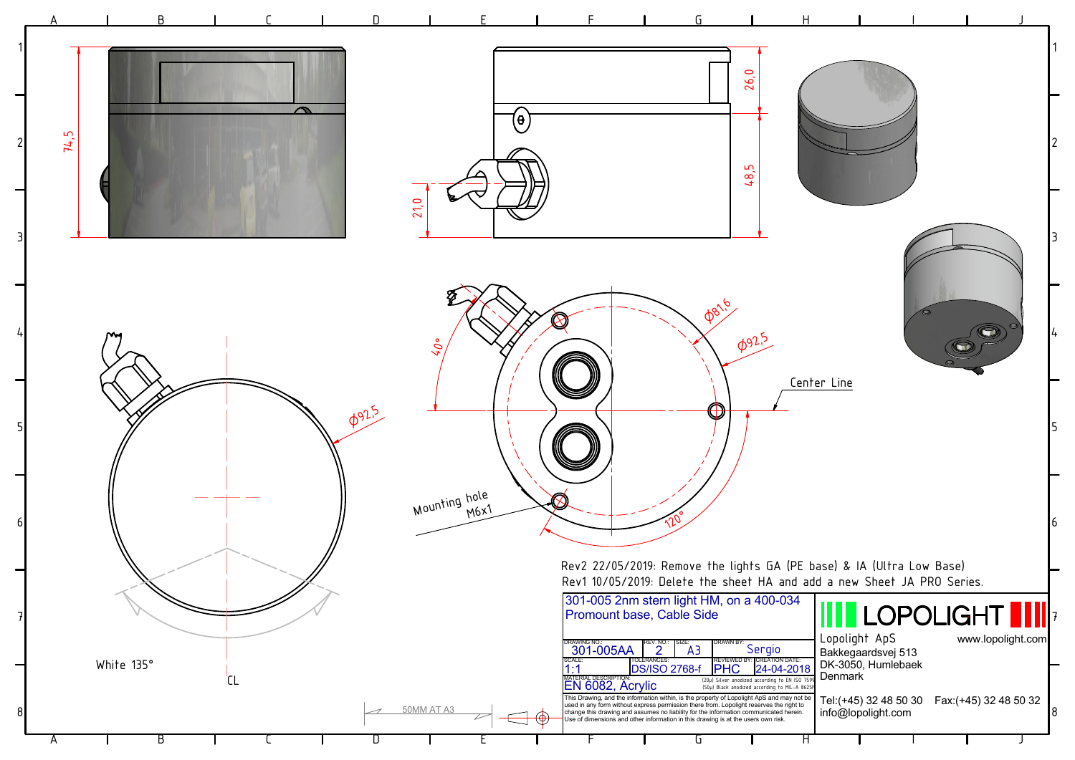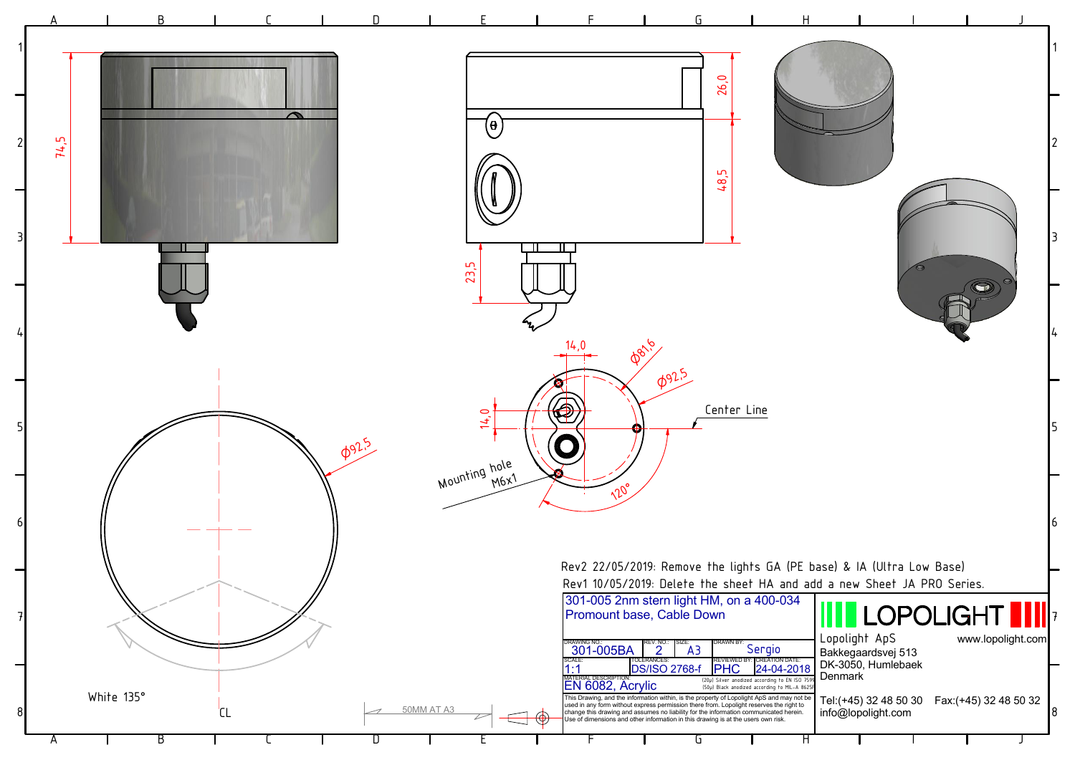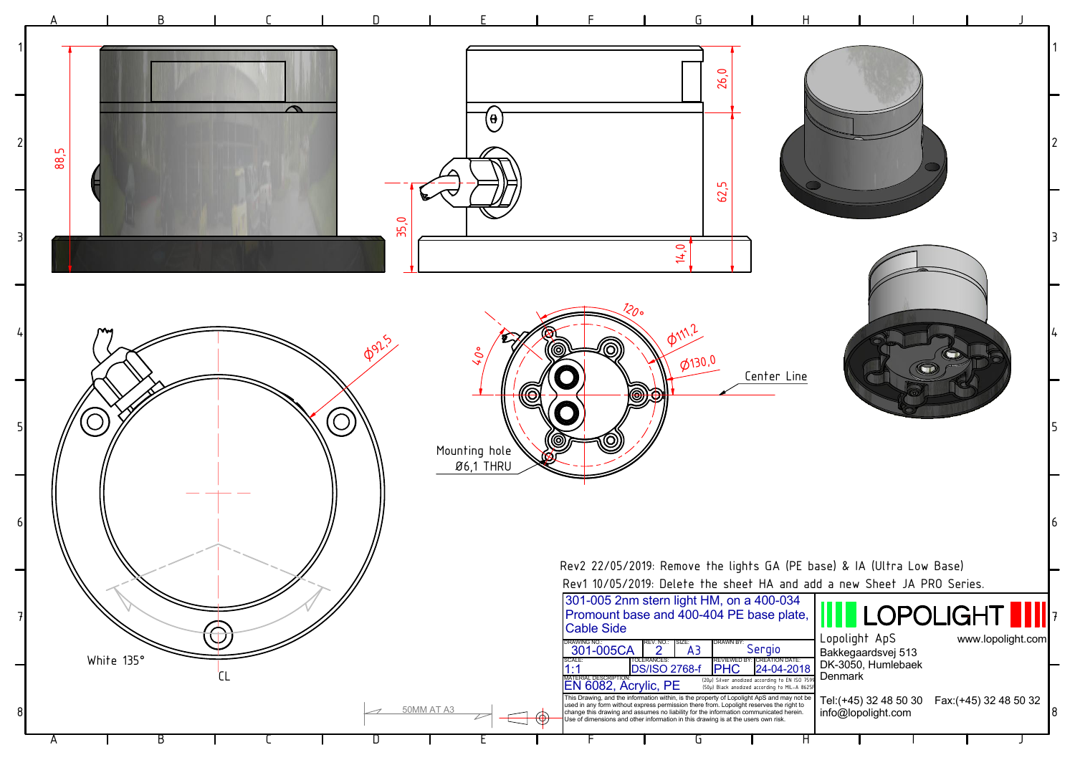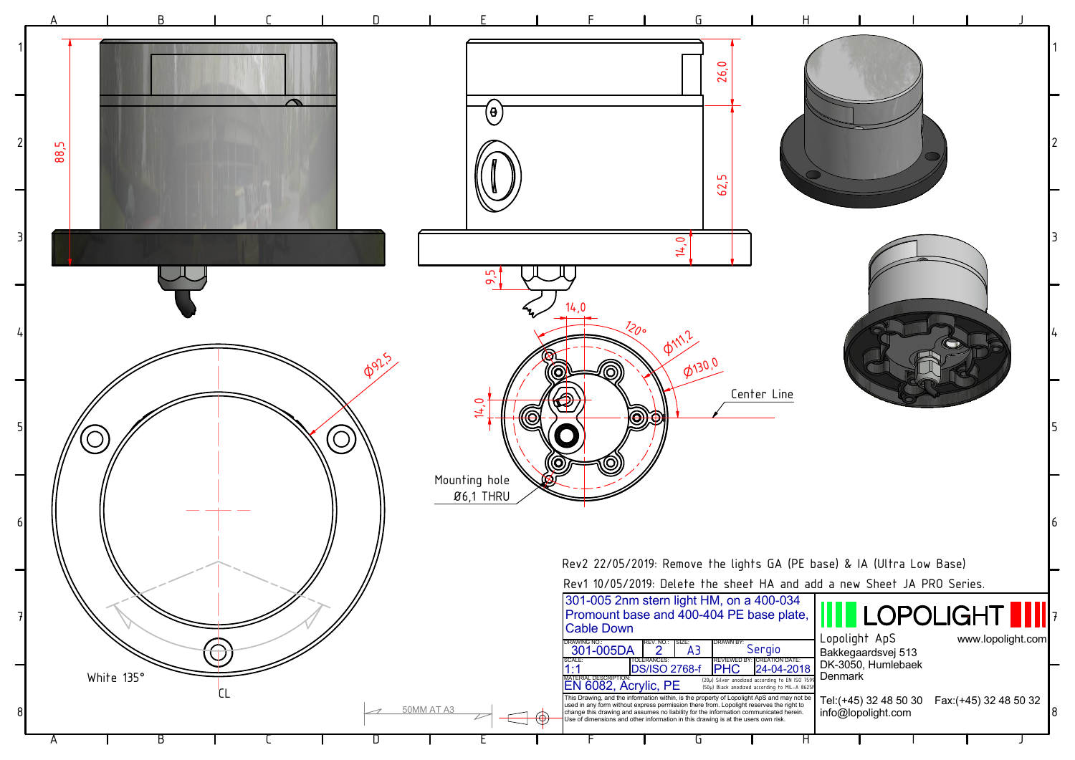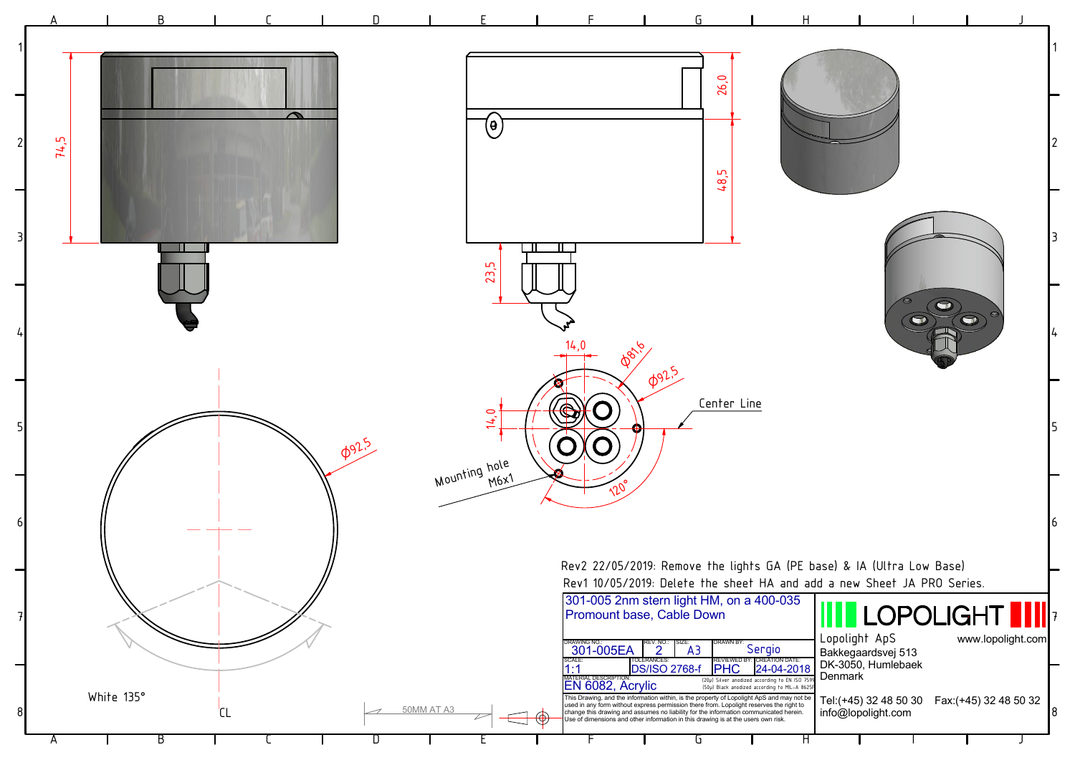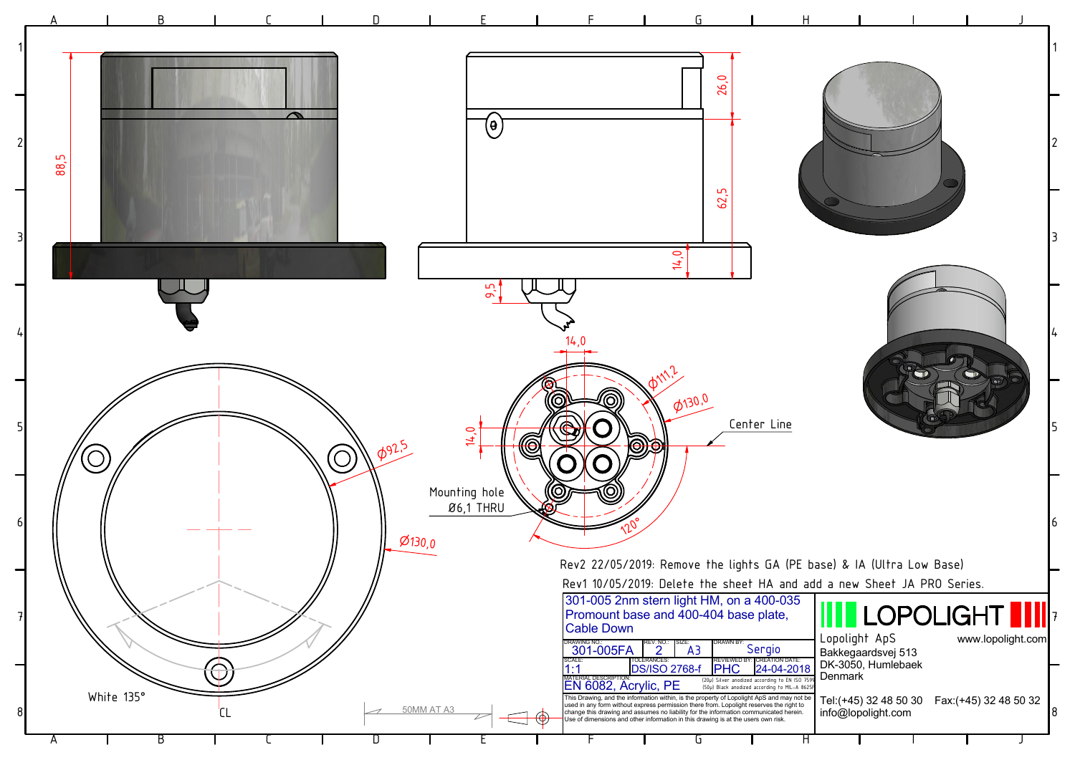![](_page_5_Figure_0.jpeg)